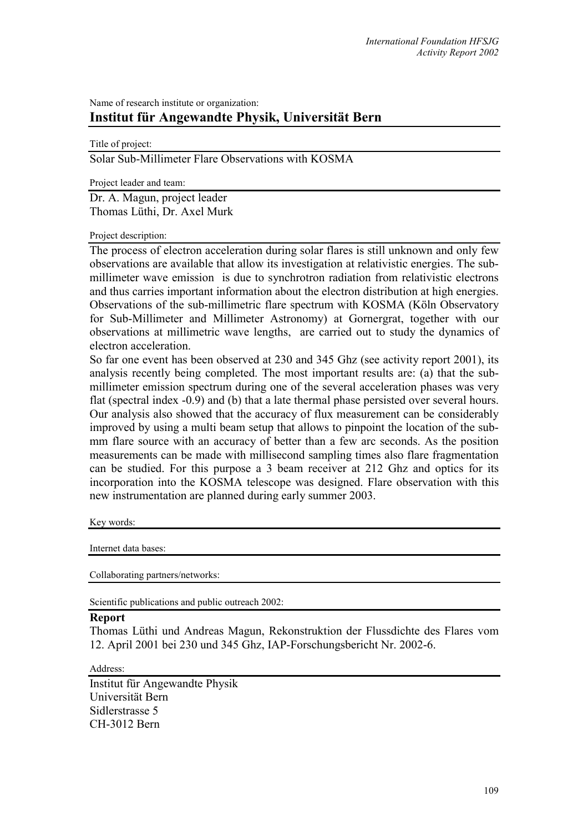## Name of research institute or organization: **Institut für Angewandte Physik, Universität Bern**

Title of project:

Solar Sub-Millimeter Flare Observations with KOSMA

Project leader and team:

Dr. A. Magun, project leader Thomas Lüthi, Dr. Axel Murk

## Project description:

The process of electron acceleration during solar flares is still unknown and only few observations are available that allow its investigation at relativistic energies. The submillimeter wave emission is due to synchrotron radiation from relativistic electrons and thus carries important information about the electron distribution at high energies. Observations of the sub-millimetric flare spectrum with KOSMA (Köln Observatory for Sub-Millimeter and Millimeter Astronomy) at Gornergrat, together with our observations at millimetric wave lengths, are carried out to study the dynamics of electron acceleration.

So far one event has been observed at 230 and 345 Ghz (see activity report 2001), its analysis recently being completed. The most important results are: (a) that the submillimeter emission spectrum during one of the several acceleration phases was very flat (spectral index -0.9) and (b) that a late thermal phase persisted over several hours. Our analysis also showed that the accuracy of flux measurement can be considerably improved by using a multi beam setup that allows to pinpoint the location of the submm flare source with an accuracy of better than a few arc seconds. As the position measurements can be made with millisecond sampling times also flare fragmentation can be studied. For this purpose a 3 beam receiver at 212 Ghz and optics for its incorporation into the KOSMA telescope was designed. Flare observation with this new instrumentation are planned during early summer 2003.

Key words:

Internet data bases:

Collaborating partners/networks:

Scientific publications and public outreach 2002:

## **Report**

Thomas Lüthi und Andreas Magun, Rekonstruktion der Flussdichte des Flares vom 12. April 2001 bei 230 und 345 Ghz, IAP-Forschungsbericht Nr. 2002-6.

## Address:

Institut für Angewandte Physik Universität Bern Sidlerstrasse 5 CH-3012 Bern